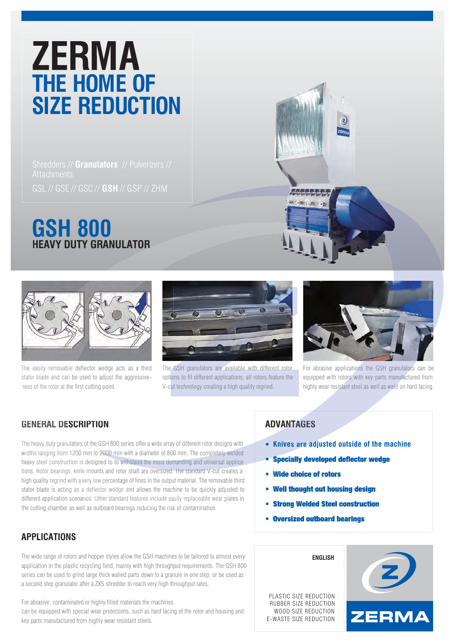# **ZERMA**<br>THE HOME OF **SIZE REDUCTION**

Shredders // **Granulators** // Pulverizers // GSL // GSE // GSC // **GSH** // GSP // ZHM

### **GSH 800 HEAVY DUTY GRANULATOR R**



The easily removable deflector wedge acts as a third stator blade and can be used to adjust the aggressive ness of the rotor at the first cutting point. th



The GSH granulators are available with different rotor options to fit different applications, all rotors feature the V-cut technology creating a high quality regrind. For abrasive applications the GSH granulators are available with different rotor For abrasive applications the GSH granulators<br>ions to fit different applications, all rotors feature the equipped with rotors with key parts



For abrasive applications the GSH granulators can be equipped with rotors with key parts manufactured from highly wear resistant steel as well as weld on hard facing.

#### **GENERAL DESCRIPTION**

The heavy duty granulators of the GSH 800 series offer a wide array of different rotor designs with granula widths ranging from 1200 mm to 2000 mm with a diameter of 800 mm. The completely welded heavy steel construction is designed to to withstand the most demanding and universal applica heavy steel construction is designed to to withstand the most demanding and universal applica<br>tions. Rotor bearings, knife mounts and rotor shaft are oversized. The standard V-cut creates a high quality regrind with a very low percentage of fines in the output material. The removable third stator blade is acting as a deflector wedge and allows the machine to be quickly adjusted to different application scenarios. Other standard features include easily replaceable wear plates in the cutting chamber as well as outboard bearings reducing the risk of contamination.

#### **APPLICATIONS**

The wide range of rotors and hopper styles allow the GSH machines to be tailored to almost every application in the plastic recycling field, mainly with high throughput requirements. The GSH 800 series can be used to grind large thick walled parts down to a granule in one step, or be used as a second step granulator after a ZXS shredder to reach very high throughput rates.

For abrasive, contaminated or highly filled materials the machines can be equipped with special wear protections, such as hard facing of the rotor and housing and key parts manufactured from highly wear resistant steels.

## **ADVANTAGES**<br>• Knives are ad

- **Knives are adjusted outside of the machine**
- Specially developed deflector wedge
- Wide choice of rotors
- Well thought out housing design
- Strong Welded Steel construction
- **Oversized outboard bearings**